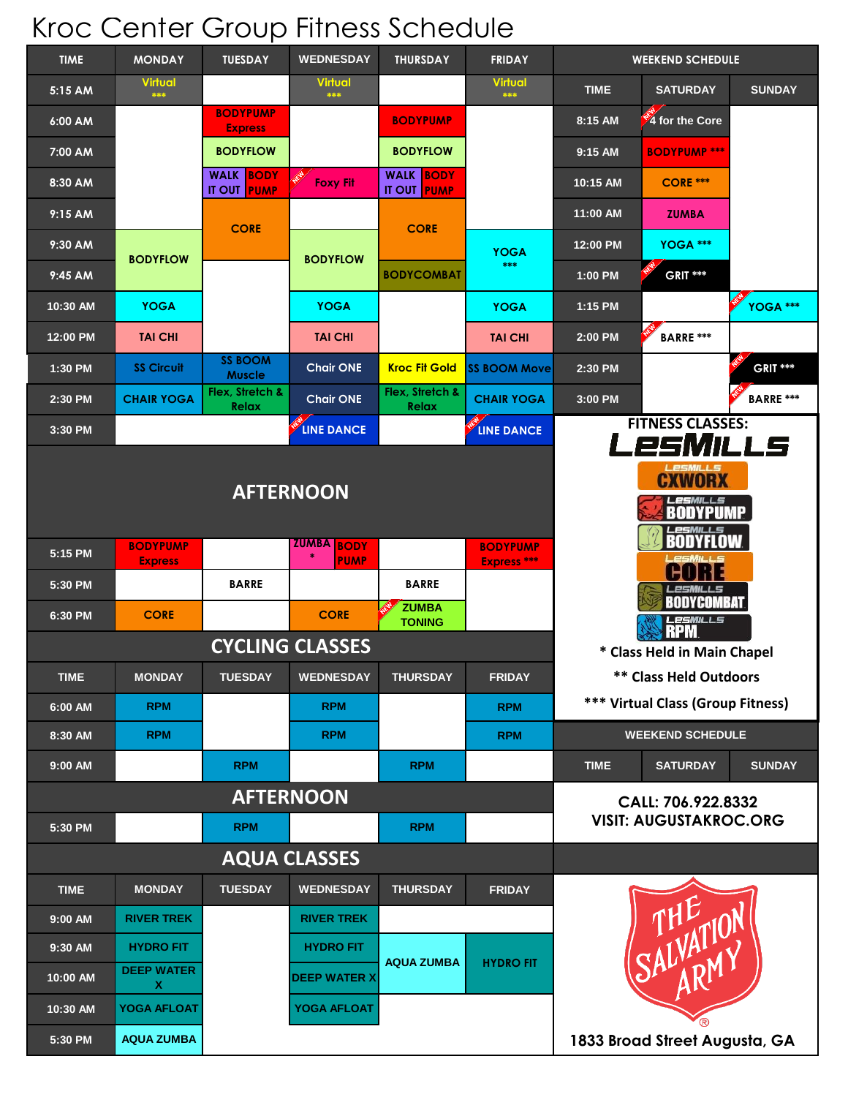## Kroc Center Group Fitness Schedule

| <b>TIME</b>            | <b>MONDAY</b>                     | <b>TUESDAY</b>                         | <b>WEDNESDAY</b>                 | <b>THURSDAY</b>                        | <b>FRIDAY</b>                         | <b>WEEKEND SCHEDULE</b>       |                                              |  |
|------------------------|-----------------------------------|----------------------------------------|----------------------------------|----------------------------------------|---------------------------------------|-------------------------------|----------------------------------------------|--|
| 5:15 AM                | <b>Virtual</b><br>来来来。            |                                        | <b>Virtual</b><br>***            |                                        | <b>Virtual</b><br>***                 | <b>TIME</b>                   | <b>SATURDAY</b><br><b>SUNDAY</b>             |  |
| 6:00 AM                |                                   | <b>BODYPUMP</b><br><b>Express</b>      |                                  | <b>BODYPUMP</b>                        |                                       | 8:15 AM                       | 4 for the Core                               |  |
| 7:00 AM                |                                   | <b>BODYFLOW</b>                        |                                  | <b>BODYFLOW</b>                        |                                       | 9:15 AM                       | <b>BODYPUMP ***</b>                          |  |
| 8:30 AM                |                                   | <b>WALK BODY</b><br><b>IT OUT PUMP</b> | FEE<br><b>Foxy Fit</b>           | <b>WALK BODY</b><br><b>IT OUT PUMP</b> |                                       | 10:15 AM                      | <b>CORE ***</b>                              |  |
| $9:15$ AM              |                                   | <b>CORE</b>                            |                                  | <b>CORE</b>                            |                                       | 11:00 AM                      | <b>ZUMBA</b>                                 |  |
| 9:30 AM                | <b>BODYFLOW</b>                   |                                        | <b>BODYFLOW</b>                  |                                        | <b>YOGA</b>                           | 12:00 PM                      | YOGA ***                                     |  |
| 9:45 AM                |                                   |                                        |                                  | <b>BODYCOMBAT</b>                      | ***                                   | 1:00 PM                       | <b>GRIT ***</b>                              |  |
| 10:30 AM               | <b>YOGA</b>                       |                                        | <b>YOGA</b>                      |                                        | <b>YOGA</b>                           | 1:15 PM                       | YOGA <sup>***</sup>                          |  |
| 12:00 PM               | <b>TAI CHI</b>                    |                                        | <b>TAI CHI</b>                   |                                        | <b>TAI CHI</b>                        | 2:00 PM                       | <b>BARRE ***</b>                             |  |
| 1:30 PM                | <b>SS Circuit</b>                 | <b>SS BOOM</b><br><b>Muscle</b>        | <b>Chair ONE</b>                 | <b>Kroc Fit Gold</b>                   | <b>SS BOOM Move</b>                   | 2:30 PM                       | <b>GRIT ***</b>                              |  |
| 2:30 PM                | <b>CHAIR YOGA</b>                 | Flex, Stretch &<br>Relax               | <b>Chair ONE</b>                 | Flex, Stretch &<br>Relax               | <b>CHAIR YOGA</b>                     | 3:00 PM                       | <b>BARRE</b> ***                             |  |
| 3:30 PM                |                                   |                                        | LINE DANCE                       |                                        | LINE DANCE                            |                               | <b>FITNESS CLASSES:</b><br>LesMills          |  |
| <b>AFTERNOON</b>       |                                   |                                        |                                  |                                        |                                       |                               | <b>LesMILLS</b><br><b>CXWORX</b><br>BODYPUMP |  |
| 5:15 PM                | <b>BODYPUMP</b><br><b>Express</b> |                                        | <b>ZUMBA BODY</b><br><b>PUMP</b> |                                        | <b>BODYPUMP</b><br><b>Express ***</b> |                               | <b>BODYFLOW</b>                              |  |
| 5:30 PM                |                                   | <b>BARRE</b>                           |                                  | <b>BARRE</b>                           |                                       |                               | CORE<br><b>LESMILLS</b>                      |  |
| 6:30 PM                | <b>CORE</b>                       |                                        | <b>CORE</b>                      | <b>ZUMBA</b><br><b>TONING</b>          |                                       |                               | <b>BODYCOMBAT</b><br>LesMills<br><b>RPM</b>  |  |
| <b>CYCLING CLASSES</b> |                                   |                                        |                                  |                                        |                                       |                               | * Class Held in Main Chapel                  |  |
| <b>TIME</b>            | <b>MONDAY</b>                     | <b>TUESDAY</b>                         | <b>WEDNESDAY</b>                 | <b>THURSDAY</b>                        | <b>FRIDAY</b>                         |                               | <b>** Class Held Outdoors</b>                |  |
| 6:00 AM                | <b>RPM</b>                        |                                        | <b>RPM</b>                       |                                        | <b>RPM</b>                            |                               | <b>*** Virtual Class (Group Fitness)</b>     |  |
| 8:30 AM                | <b>RPM</b>                        |                                        | <b>RPM</b>                       |                                        | <b>RPM</b>                            |                               | <b>WEEKEND SCHEDULE</b>                      |  |
| 9:00 AM                |                                   | <b>RPM</b>                             |                                  | <b>RPM</b>                             |                                       | <b>TIME</b>                   | <b>SUNDAY</b><br><b>SATURDAY</b>             |  |
| <b>AFTERNOON</b>       |                                   |                                        |                                  |                                        |                                       |                               | CALL: 706.922.8332                           |  |
| 5:30 PM                |                                   | <b>RPM</b>                             |                                  | <b>RPM</b>                             |                                       | <b>VISIT: AUGUSTAKROC.ORG</b> |                                              |  |
| <b>AQUA CLASSES</b>    |                                   |                                        |                                  |                                        |                                       |                               |                                              |  |
| <b>TIME</b>            | <b>MONDAY</b>                     | <b>TUESDAY</b>                         | <b>WEDNESDAY</b>                 | <b>THURSDAY</b>                        | <b>FRIDAY</b>                         |                               |                                              |  |
| 9:00 AM                | <b>RIVER TREK</b>                 |                                        | <b>RIVER TREK</b>                |                                        |                                       | THE TANK                      |                                              |  |
| 9:30 AM                | <b>HYDRO FIT</b>                  |                                        | <b>HYDRO FIT</b>                 | <b>AQUA ZUMBA</b>                      | <b>HYDRO FIT</b>                      |                               |                                              |  |
| 10:00 AM               | <b>DEEP WATER</b><br>$\mathbf{x}$ |                                        | <b>DEEP WATER X</b>              |                                        |                                       |                               |                                              |  |
| 10:30 AM               | <b>YOGA AFLOAT</b>                |                                        | YOGA AFLOAT                      |                                        |                                       |                               |                                              |  |
| 5:30 PM                | <b>AQUA ZUMBA</b>                 |                                        |                                  |                                        |                                       |                               | 1833 Broad Street Augusta, GA                |  |